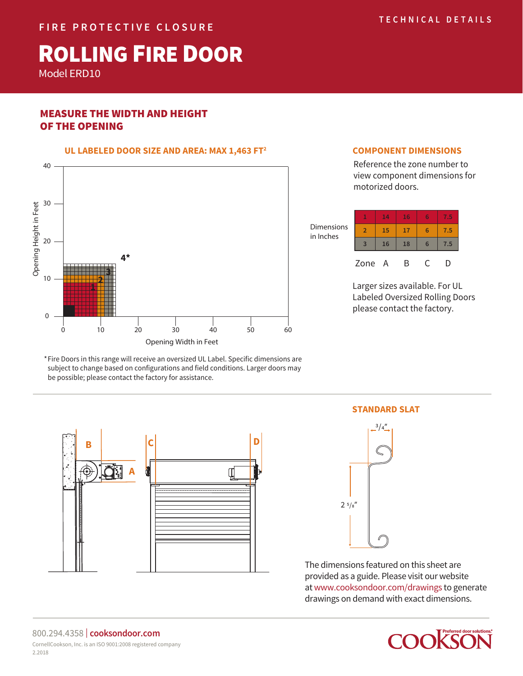# ROLLING FIRE DOOR

Model ERD10

# MEASURE THE WIDTH AND HEIGHT OF THE OPENING



## **COMPONENT DIMENSIONS**

Reference the zone number to view component dimensions for motorized doors.



Larger sizes available. For UL Labeled Oversized Rolling Doors please contact the factory.

Fire Doors in this range will receive an oversized UL Label. Specific dimensions are \* subject to change based on configurations and field conditions. Larger doors may be possible; please contact the factory for assistance.



**STANDARD SLAT**



The dimensions featured on this sheet are provided as a guide. Please visit our website at www.cooksondoor.com/drawings to generate drawings on demand with exact dimensions.